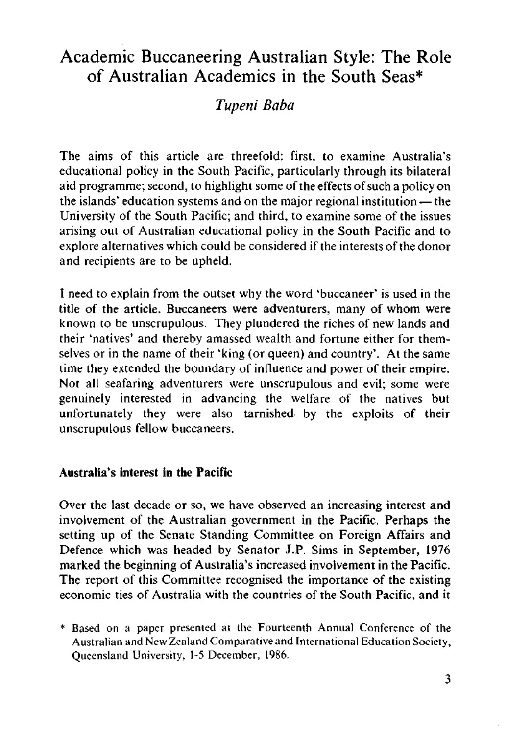# Academic Buccaneering Australian Style: The Role of Australian Academics in the South Seas\*

## *Tupeni Baba*

The aims of this article are threefold: first, to examine Australia's educational policy in the South Pacific, particularly through its bilateral aid programme; second, to highlight some of the effects of such a policy on the islands' education systems and on the major regional institution — the University of the South Pacific; and third, to examine some of the issues arising out of Australian educational policy in the South Pacific and to explore alternatives which could be considered if the interests of the donor and recipients are to be upheld.

I need to explain from the outset why the word 'buccaneer' is used in the title of the article. Buccaneers were adventurers, many of whom were known to be unscrupulous. They plundered the riches of new lands and their 'natives' and thereby amassed wealth and fortune either for themselves or in the name of their 'king (or queen) and country', At the same time they extended the boundary of influence and power of their empire. Not all seafaring adventurers were unscrupulous and evil; some were genuinely interested in advancing the welfare of the natives but unfortunately they were also tarnished by the exploits of their unscrupulous fellow buccaneers.

### **Australia's interest in the Pacific**

Over the last decade or so, we have observed an increasing interest and involvement of the Australian government in the Pacific. Perhaps the setting up of the Senate Standing Committee on Foreign Affairs and Defence which was headed by Senator J.P. Sims in September, 1976 marked the beginning of Australia's increased involvement in the Pacific. The report of this Committee recognised the importance of the existing economic ties of Australia with the countries of the South Pacific, and it

\* Based on a paper presented at the Fourteenth Annual Conference of the Australian and New Zealand Comparative and International Education Society, Queensland University, 1-5 December, 1986.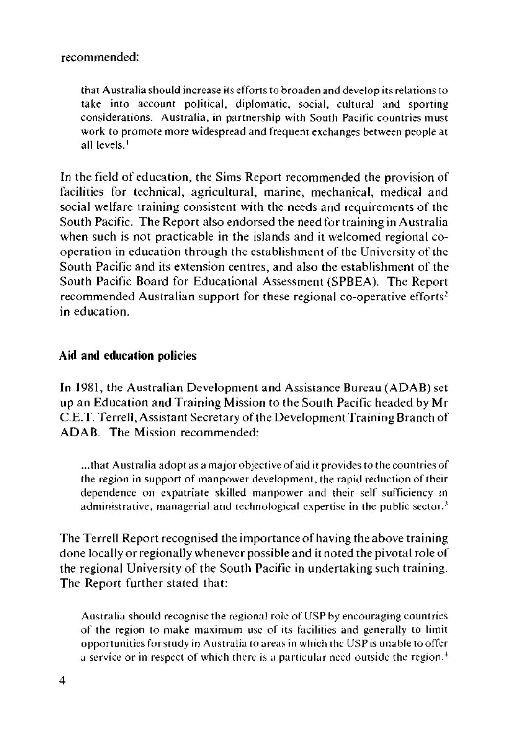#### recommended:

that Australia should increase its efforts to broaden and develop its relations to take into account political, diplomatic, social, cultural and sporting considerations. Australia, in partnership with South Pacific countries must work to promote more widespread and frequent exchanges between people at all levels.'

In the field of education, the Sims Report recommended the provision of facilities for technical, agricultural, marine, mechanical, medical and social welfare training consistent with the needs and requirements of the South Pacific. The Report also endorsed the need for training in Australia when such is not practicable in the islands and it welcomed regional cooperation in education through the establishment of the University of the South Pacific and its extension centres, and also the establishment of the South Pacific Board for Educational Assessment (SPBEA). The Report recommended Australian support for these regional co-operative efforts<sup>2</sup> in education.

#### **Aid and education policies**

In 1981, the Australian Development and Assistance Bureau (ADAB) set up an Education and Training Mission to the South Pacific headed by Mr C.E.T. Terrell, Assistant Secretary of the Development Training Branch of ADAB. The Mission recommended:

...that Australia adopt as a major objective of aid it provides to the countries of the region in support of manpower development, the rapid reduction of their dependence on expatriate skilled manpower and their self sufficiency in administrative, managerial and technological expertise in the public sector.<sup>3</sup>

The Terrell Report recognised the importance of having the above training done locally or regionally whenever possible and it noted the pivotal role of the regional University of the South Pacific in undertaking such training. The Report further stated that:

Australia should recognise the regional role of USP by encouraging countries of the region to make maximum use of its facilities and generally to limit opportunities for study in Australia to areas in which the USP is unable to offer a service or in respect of which there is a particular need outside the region. $4$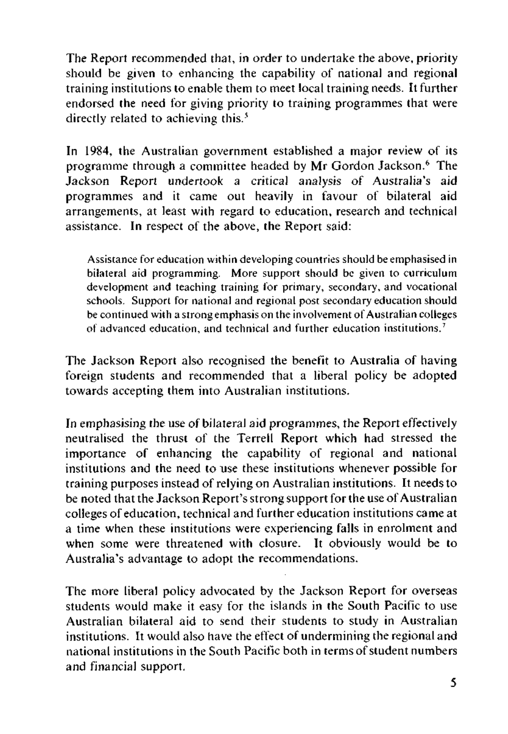The Report recommended that, in order to undertake the above, priority should be given to enhancing the capability of national and regional training institutions to enable them to meet local training needs. It further endorsed the need for giving priority to training programmes that were directly related to achieving this.<sup>5</sup>

In 1984, the Australian government established a major review of its programme through a committee headed by Mr Gordon Jackson.<sup>6</sup> The Jackson Report undertook a critical analysis of Australia's aid programmes and it came out heavily in favour of bilateral aid arrangements, at least with regard to education, research and technical assistance. In respect of the above, the Report said:

Assistance for education within developing countries should be emphasised in bilateral aid programming. More support should be given to curriculum development and teaching training for primary, secondary, and vocational schools. Support for national and regional post secondary education should be continued with a strong emphasis on the involvement of Australian colleges of advanced education, and technical and further education institutions.<sup>7</sup>

The Jackson Report also recognised the benefit to Australia of having foreign students and recommended that a liberal policy be adopted towards accepting them into Australian institutions.

In emphasising the use of bilateral aid programmes, the Report effectively neutralised the thrust of the Terrell Report which had stressed the importance of enhancing the capability of regional and national institutions and the need to use these institutions whenever possible for training purposes instead of relying on Australian institutions. It needs to be noted that the Jackson Report's strong support for the use of Australian colleges of education, technical and further education institutions came at a time when these institutions were experiencing falls in enrolment and when some were threatened with closure. It obviously would be to Australia's advantage to adopt the recommendations.

The more liberal policy advocated by the Jackson Report for overseas students would make it easy for the islands in the South Pacific to use Australian bilateral aid to send their students to study in Australian institutions. It would also have the effect of undermining the regional and national institutions in the South Pacific both in terms of student numbers and financial support.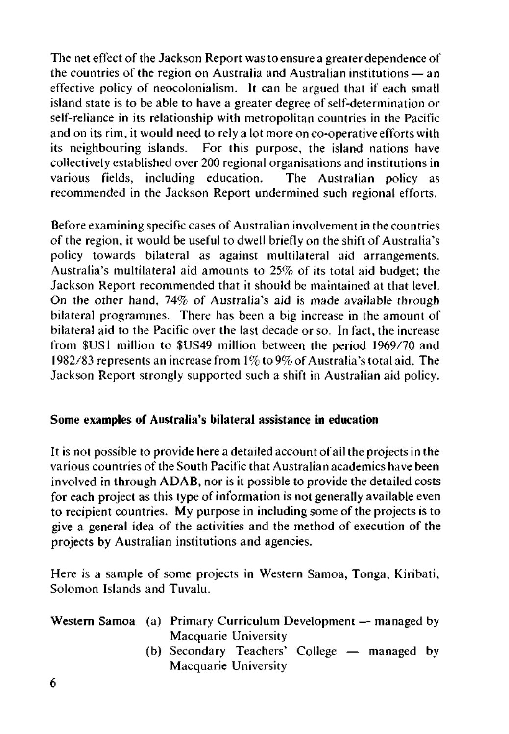The net effect of the Jackson Report was to ensure a greater dependence of the countries of the region on Australia and Australian institutions — an effective policy of neocolonialism. It can be argued that if each small island state is to be able to have a greater degree of self-determination or self-reliance in its relationship with metropolitan countries in the Pacific and on its rim, it would need to rely a lot more on co-operative efforts with its neighbouring islands. For this purpose, the island nations have collectively established over 200 regional organisations and institutions in various fields, including education. The Australian policy as recommended in the Jackson Report undermined such regional efforts.

Before examining specific cases of Australian involvement in the countries of the region, it would be useful to dwell briefly on the shift of Australia's policy towards bilateral as against multilateral aid arrangements. Australia's multilateral aid amounts to 25% of its total aid budget; the Jackson Report recommended that it should be maintained at that level. On the other hand, 74% of Australia's aid is made available through bilateral programmes. There has been a big increase in the amount of bilateral aid to the Pacific over the last decade or so. In fact, the increase from \$US1 million to \$US49 million between the period 1969/70 and 1982/83 represents an increase from 1% to 9% of Australia's total aid. The Jackson Report strongly supported such a shift in Australian aid policy.

#### **Some examples of Australia's bilateral assistance in education**

It is not possible to provide here a detailed account of ail the projects in the various countries of the South Pacific that Australian academics have been involved in through ADAB, nor is it possible to provide the detailed costs for each project as this type of information is not generally available even to recipient countries. My purpose in including some of the projects is to give a general idea of the activities and the method of execution of the projects by Australian institutions and agencies.

Here is a sample of some projects in Western Samoa, Tonga, Kiribati, Solomon Islands and Tuvalu.

|  | Western Samoa (a) Primary Curriculum Development — managed by |
|--|---------------------------------------------------------------|
|  | Macquarie University                                          |
|  | (b) Secondary Teachers' College — managed by                  |

Macquarie University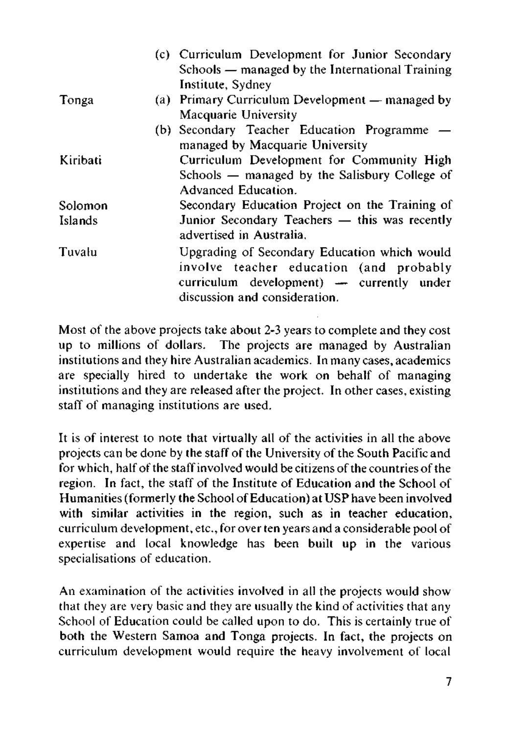|          | (c) Curriculum Development for Junior Secondary |
|----------|-------------------------------------------------|
|          | Schools — managed by the International Training |
|          | Institute, Sydney                               |
| Tonga    | (a) Primary Curriculum Development — managed by |
|          | Macquarie University                            |
|          | (b) Secondary Teacher Education Programme -     |
|          | managed by Macquarie University                 |
| Kiribati | Curriculum Development for Community High       |
|          | Schools — managed by the Salisbury College of   |
|          | Advanced Education.                             |
| Solomon  | Secondary Education Project on the Training of  |
| Islands  | Junior Secondary Teachers - this was recently   |
|          | advertised in Australia.                        |
| Tuvalu   | Upgrading of Secondary Education which would    |
|          | involve teacher education (and probably         |
|          | curriculum development) — currently under       |
|          | discussion and consideration.                   |
|          |                                                 |

Most of the above projects take about 2-3 years to complete and they cost up to millions of dollars. The projects are managed by Australian institutions and they hire Australian academics. In many cases, academics are specially hired to undertake the work on behalf of managing institutions and they are released after the project. In other cases, existing staff of managing institutions are used.

It is of interest to note that virtually all of the activities in all the above projects can be done by the staff of the University of the South Pacific and for which, half of the staff involved would be citizens of the countries of the region. In fact, the staff of the Institute of Education and the School of Humanities (formerly the School of Education) at USP have been involved with similar activities in the region, such as in teacher education, curriculum development, etc., for over ten years and a considerable pool of expertise and local knowledge has been built up in the various specialisations of education.

An examination of the activities involved in all the projects would show that they are very basic and they are usually the kind of activities that any School of Education could be called upon to do. This is certainly true of both the Western Samoa and Tonga projects. In fact, the projects on curriculum development would require the heavy involvement of local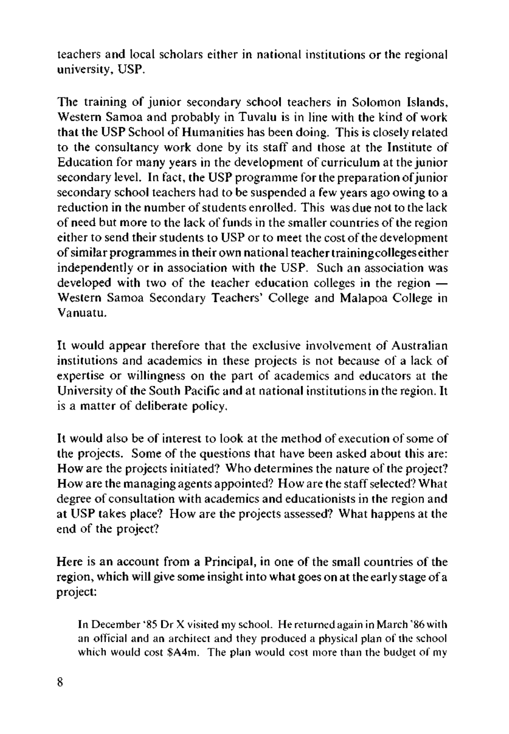teachers and local scholars either in national institutions or the regional university, USP.

The training of junior secondary school teachers in Solomon Islands, Western Samoa and probably in Tuvalu is in line with the kind of work that the USP School of Humanities has been doing. This is closely related to the consultancy work done by its staff and those at the Institute of Education for many years in the development of curriculum at the junior secondary level. In fact, the USP programme for the preparation of junior secondary school teachers had to be suspended a few years ago owing to a reduction in the number of students enrolled. This was due not to the lack of need but more to the lack of funds in the smaller countries of the region either to send their students to USP or to meet the cost of the development of similar programmes in their own national teacher training colleges either independently or in association with the USP. Such an association was developed with two of the teacher education colleges in the region — Western Samoa Secondary Teachers' College and Malapoa College in Vanuatu.

It would appear therefore that the exclusive involvement of Australian institutions and academics in these projects is not because of a lack of expertise or willingness on the part of academics and educators at the University of the South Pacific and at national institutions in the region. It is a matter of deliberate policy.

It would also be of interest to look at the method of execution of some of the projects. Some of the questions that have been asked about this are: How are the projects initiated? Who determines the nature of the project? How are the managing agents appointed? How are the staff selected? What degree of consultation with academics and educationists in the region and at USP takes place? How are the projects assessed? What happens at the end of the project?

Here is an account from a Principal, in one of the small countries of the region, which will give some insight into what goes on at the early stage of a project:

In December '85 Dr X visited my school. He returned again in March '86 with an official and an architect and they produced a physical plan of the school which would cost \$A4m. The plan would cost more than the budget of my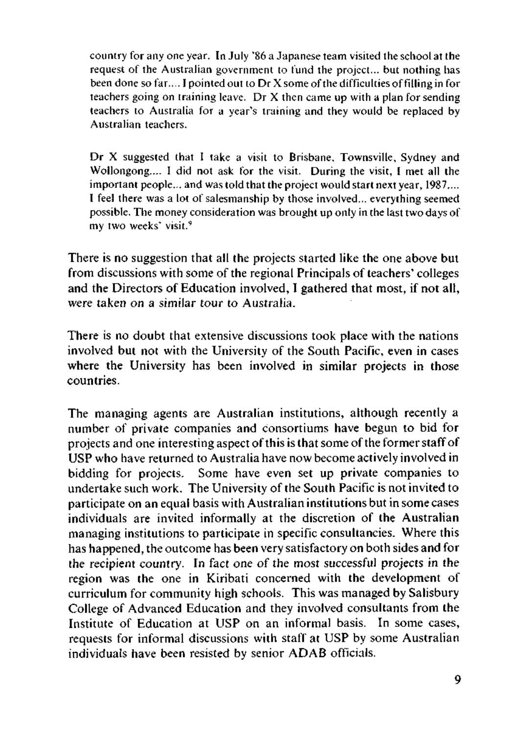country for any one year. In July '86 a Japanese team visited the school at the request of the Australian government to fund the project... but nothing has been done so far.... I pointed out to Dr X some of the difficulties of filling in for teachers going on training leave. Dr  $X$  then came up with a plan for sending teachers to Australia for a year's training and they would be replaced by Australian teachers.

Dr X suggested that I take a visit to Brisbane, Townsville, Sydney and Wollongong.... I did not ask for the visit. During the visit, I met all the important people... and was told that the project would start next year, 1987.... I feel there was a lot of salesmanship by those involved... everything seemed possible. The money consideration was brought up only in the last two days of my two weeks' visit.<sup>9</sup>

There is no suggestion that all the projects started like the one above but from discussions with some of the regional Principals of teachers' colleges and the Directors of Education involved, I gathered that most, if not all, were taken on a similar tour to Australia.

There is no doubt that extensive discussions took place with the nations involved but not with the University of the South Pacific, even in cases where the University has been involved in similar projects in those countries.

The managing agents are Australian institutions, although recently a number of private companies and consortiums have begun to bid for projects and one interesting aspect of this is that some of the former staff of USP who have returned to Australia have now become actively involved in bidding for projects. Some have even set up private companies to undertake such work. The University of the South Pacific is not invited to participate on an equal basis with Australian institutions but in some cases individuals are invited informally at the discretion of the Australian managing institutions to participate in specific consultancies. Where this has happened, the outcome has been very satisfactory on both sides and for the recipient country. In fact one of the most successful projects in the region was the one in Kiribati concerned with the development of curriculum for community high schools. This was managed by Salisbury College of Advanced Education and they involved consultants from the Institute of Education at USP on an informal basis. In some cases, requests for informal discussions with staff at USP by some Australian individuals have been resisted by senior ADAB officials.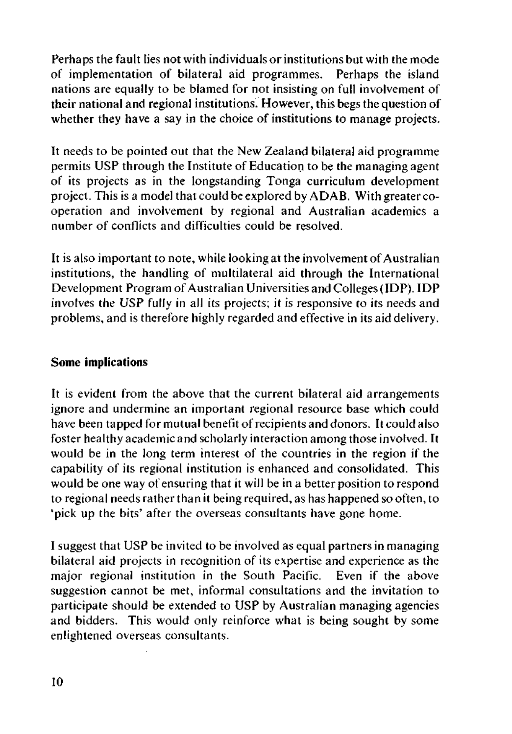Perhaps the fault lies not with individuals or institutions but with the mode of implementation of bilateral aid programmes. Perhaps the island nations are equally to be blamed for not insisting on full involvement of their national and regional institutions. However, this begs the question of whether they have a say in the choice of institutions to manage projects.

It needs to be pointed out that the New Zealand bilateral aid programme permits USP through the Institute of Education to be the managing agent of its projects as in the longstanding Tonga curriculum development project. This is a model that could be explored by ADAB. With greater cooperation and involvement by regional and Australian academics a number of conflicts and difficulties could be resolved.

It is also important to note, while looking at the involvement of Australian institutions, the handling of multilateral aid through the International Development Program of Australian Universities and Colleges **(IDP). IDP**  involves the USP fully in all its projects; it is responsive to its needs and problems, and is therefore highly regarded and effective in its aid delivery.

#### **Some implications**

**It** is evident from the above that the current bilateral aid arrangements ignore and undermine an important regional resource base which could have been tapped for mutual benefit of recipients and donors. It could also foster healthy academic and scholarly interaction among those involved. It would be in the long term interest of the countries in the region if the capability of its regional institution is enhanced and consolidated. This would be one way of ensuring that it will be in a better position to respond to regional needs rather than it being required, as has happened so often, to 'pick up the bits' after the overseas consultants have gone home.

I suggest that USP be invited to be involved as equal partners in managing bilateral aid projects in recognition of its expertise and experience as the major regional institution in the South Pacific. Even if the above suggestion cannot be met, informal consultations and the invitation to participate should be extended to USP by Australian managing agencies and bidders. This would only reinforce what is being sought by some enlightened overseas consultants.